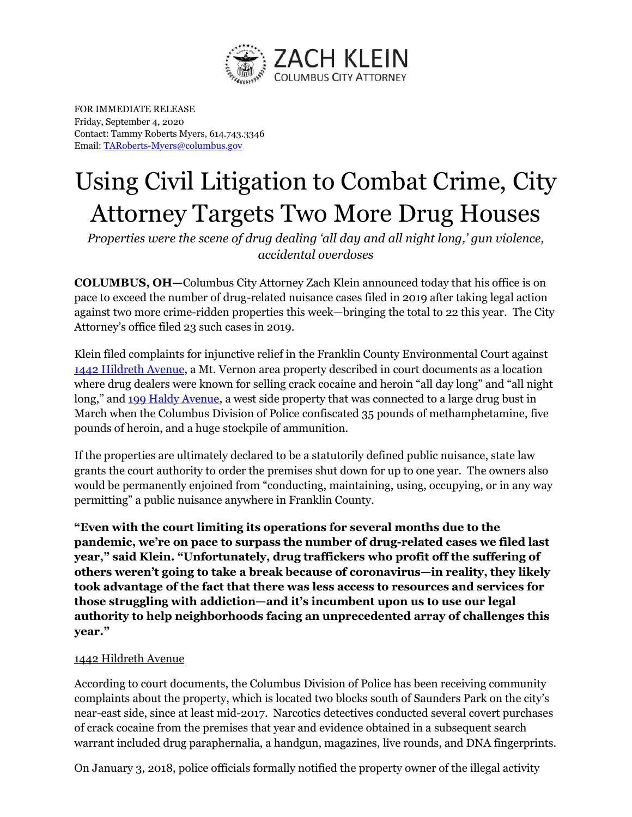

FOR IMMEDIATE RELEASE Friday, September 4, 2020 Contact: Tammy Roberts Myers, 614.743.3346 Email[: TARoberts-Myers@columbus.gov](mailto:TARoberts-Myers@columbus.gov)

## Using Civil Litigation to Combat Crime, City Attorney Targets Two More Drug Houses

*Properties were the scene of drug dealing 'all day and all night long,' gun violence, accidental overdoses*

**COLUMBUS, OH—**Columbus City Attorney Zach Klein announced today that his office is on pace to exceed the number of drug-related nuisance cases filed in 2019 after taking legal action against two more crime-ridden properties this week—bringing the total to 22 this year. The City Attorney's office filed 23 such cases in 2019.

Klein filed complaints for injunctive relief in the Franklin County Environmental Court against [1442 Hildreth Aven](https://www.google.com/maps/place/1442+Hildreth+Ave,+Columbus,+OH+43203/@39.9748319,-82.9683637,16z/data=!4m13!1m7!3m6!1s0x8838891daf4634bb:0x8d0da055d914cb61!2s1442+Hildreth+Ave,+Columbus,+OH+43203!3b1!8m2!3d39.9748319!4d-82.9639863!3m4!1s0x8838891daf4634bb:0x8d0da055d914cb61!8m2!3d39.9748319!4d-82.9639863)ue, a Mt. Vernon area property described in court documents as a location where drug dealers were known for selling crack cocaine and heroin "all day long" and "all night long," and [199 Haldy Avenue,](https://www.google.com/maps/place/199+Haldy+Ave,+Columbus,+OH+43204/@39.9589066,-83.0823444,17z/data=!3m1!4b1!4m5!3m4!1s0x8838901fdd3d38df:0x918dc40b240f8171!8m2!3d39.9589066!4d-83.0801557) a west side property that was connected to a large drug bust in March when the Columbus Division of Police confiscated 35 pounds of methamphetamine, five pounds of heroin, and a huge stockpile of ammunition.

If the properties are ultimately declared to be a statutorily defined public nuisance, state law grants the court authority to order the premises shut down for up to one year. The owners also would be permanently enjoined from "conducting, maintaining, using, occupying, or in any way permitting" a public nuisance anywhere in Franklin County.

**"Even with the court limiting its operations for several months due to the pandemic, we're on pace to surpass the number of drug-related cases we filed last year," said Klein. "Unfortunately, drug traffickers who profit off the suffering of others weren't going to take a break because of coronavirus—in reality, they likely took advantage of the fact that there was less access to resources and services for those struggling with addiction—and it's incumbent upon us to use our legal authority to help neighborhoods facing an unprecedented array of challenges this year."**

## 1442 Hildreth Avenue

According to court documents, the Columbus Division of Police has been receiving community complaints about the property, which is located two blocks south of Saunders Park on the city's near-east side, since at least mid-2017. Narcotics detectives conducted several covert purchases of crack cocaine from the premises that year and evidence obtained in a subsequent search warrant included drug paraphernalia, a handgun, magazines, live rounds, and DNA fingerprints.

On January 3, 2018, police officials formally notified the property owner of the illegal activity